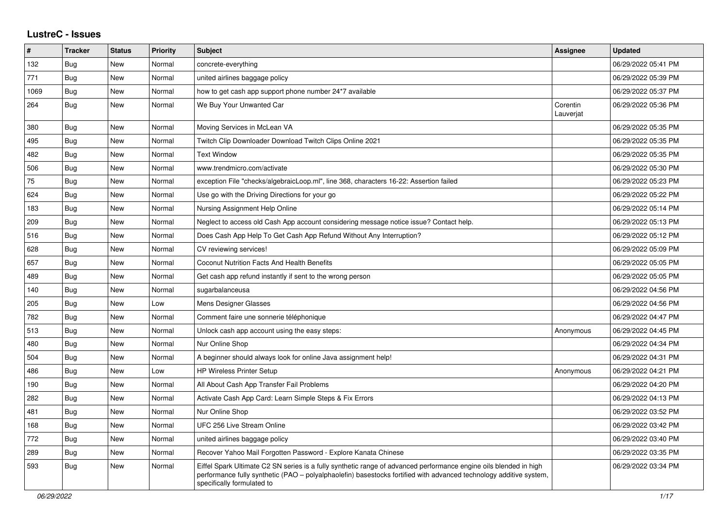## **LustreC - Issues**

| #    | <b>Tracker</b> | <b>Status</b> | <b>Priority</b> | <b>Subject</b>                                                                                                                                                                                                                                                        | <b>Assignee</b>       | <b>Updated</b>      |
|------|----------------|---------------|-----------------|-----------------------------------------------------------------------------------------------------------------------------------------------------------------------------------------------------------------------------------------------------------------------|-----------------------|---------------------|
| 132  | Bug            | New           | Normal          | concrete-everything                                                                                                                                                                                                                                                   |                       | 06/29/2022 05:41 PM |
| 771  | Bug            | <b>New</b>    | Normal          | united airlines baggage policy                                                                                                                                                                                                                                        |                       | 06/29/2022 05:39 PM |
| 1069 | Bug            | <b>New</b>    | Normal          | how to get cash app support phone number 24*7 available                                                                                                                                                                                                               |                       | 06/29/2022 05:37 PM |
| 264  | Bug            | <b>New</b>    | Normal          | We Buy Your Unwanted Car                                                                                                                                                                                                                                              | Corentin<br>Lauveriat | 06/29/2022 05:36 PM |
| 380  | Bug            | New           | Normal          | Moving Services in McLean VA                                                                                                                                                                                                                                          |                       | 06/29/2022 05:35 PM |
| 495  | Bug            | New           | Normal          | Twitch Clip Downloader Download Twitch Clips Online 2021                                                                                                                                                                                                              |                       | 06/29/2022 05:35 PM |
| 482  | Bug            | <b>New</b>    | Normal          | <b>Text Window</b>                                                                                                                                                                                                                                                    |                       | 06/29/2022 05:35 PM |
| 506  | Bug            | <b>New</b>    | Normal          | www.trendmicro.com/activate                                                                                                                                                                                                                                           |                       | 06/29/2022 05:30 PM |
| 75   | Bug            | <b>New</b>    | Normal          | exception File "checks/algebraicLoop.ml", line 368, characters 16-22: Assertion failed                                                                                                                                                                                |                       | 06/29/2022 05:23 PM |
| 624  | <b>Bug</b>     | New           | Normal          | Use go with the Driving Directions for your go                                                                                                                                                                                                                        |                       | 06/29/2022 05:22 PM |
| 183  | Bug            | <b>New</b>    | Normal          | Nursing Assignment Help Online                                                                                                                                                                                                                                        |                       | 06/29/2022 05:14 PM |
| 209  | Bug            | <b>New</b>    | Normal          | Neglect to access old Cash App account considering message notice issue? Contact help.                                                                                                                                                                                |                       | 06/29/2022 05:13 PM |
| 516  | Bug            | <b>New</b>    | Normal          | Does Cash App Help To Get Cash App Refund Without Any Interruption?                                                                                                                                                                                                   |                       | 06/29/2022 05:12 PM |
| 628  | Bug            | <b>New</b>    | Normal          | CV reviewing services!                                                                                                                                                                                                                                                |                       | 06/29/2022 05:09 PM |
| 657  | Bug            | <b>New</b>    | Normal          | Coconut Nutrition Facts And Health Benefits                                                                                                                                                                                                                           |                       | 06/29/2022 05:05 PM |
| 489  | Bug            | <b>New</b>    | Normal          | Get cash app refund instantly if sent to the wrong person                                                                                                                                                                                                             |                       | 06/29/2022 05:05 PM |
| 140  | Bug            | <b>New</b>    | Normal          | sugarbalanceusa                                                                                                                                                                                                                                                       |                       | 06/29/2022 04:56 PM |
| 205  | Bug            | <b>New</b>    | Low             | Mens Designer Glasses                                                                                                                                                                                                                                                 |                       | 06/29/2022 04:56 PM |
| 782  | Bug            | <b>New</b>    | Normal          | Comment faire une sonnerie téléphonique                                                                                                                                                                                                                               |                       | 06/29/2022 04:47 PM |
| 513  | Bug            | <b>New</b>    | Normal          | Unlock cash app account using the easy steps:                                                                                                                                                                                                                         | Anonymous             | 06/29/2022 04:45 PM |
| 480  | Bug            | New           | Normal          | Nur Online Shop                                                                                                                                                                                                                                                       |                       | 06/29/2022 04:34 PM |
| 504  | Bug            | <b>New</b>    | Normal          | A beginner should always look for online Java assignment help!                                                                                                                                                                                                        |                       | 06/29/2022 04:31 PM |
| 486  | Bug            | <b>New</b>    | Low             | <b>HP Wireless Printer Setup</b>                                                                                                                                                                                                                                      | Anonymous             | 06/29/2022 04:21 PM |
| 190  | Bug            | <b>New</b>    | Normal          | All About Cash App Transfer Fail Problems                                                                                                                                                                                                                             |                       | 06/29/2022 04:20 PM |
| 282  | Bug            | <b>New</b>    | Normal          | Activate Cash App Card: Learn Simple Steps & Fix Errors                                                                                                                                                                                                               |                       | 06/29/2022 04:13 PM |
| 481  | Bug            | <b>New</b>    | Normal          | Nur Online Shop                                                                                                                                                                                                                                                       |                       | 06/29/2022 03:52 PM |
| 168  | Bug            | <b>New</b>    | Normal          | UFC 256 Live Stream Online                                                                                                                                                                                                                                            |                       | 06/29/2022 03:42 PM |
| 772  | Bug            | <b>New</b>    | Normal          | united airlines baggage policy                                                                                                                                                                                                                                        |                       | 06/29/2022 03:40 PM |
| 289  | Bug            | <b>New</b>    | Normal          | Recover Yahoo Mail Forgotten Password - Explore Kanata Chinese                                                                                                                                                                                                        |                       | 06/29/2022 03:35 PM |
| 593  | <b>Bug</b>     | New           | Normal          | Eiffel Spark Ultimate C2 SN series is a fully synthetic range of advanced performance engine oils blended in high<br>performance fully synthetic (PAO – polyalphaolefin) basestocks fortified with advanced technology additive system,<br>specifically formulated to |                       | 06/29/2022 03:34 PM |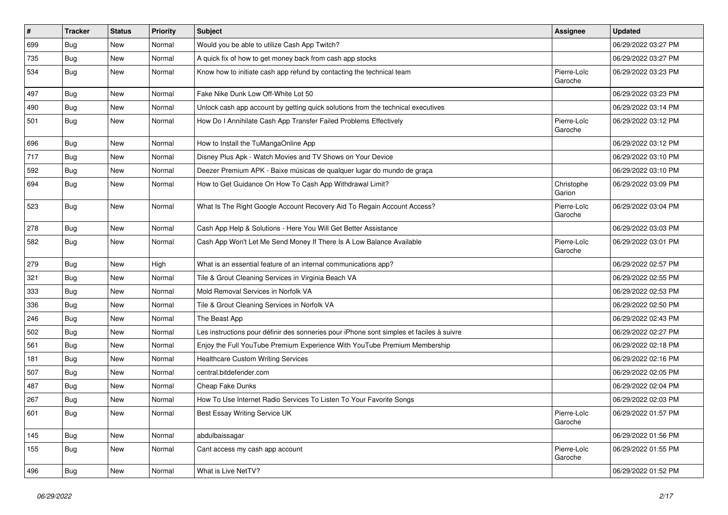| $\vert$ # | <b>Tracker</b> | <b>Status</b> | <b>Priority</b> | Subject                                                                                  | Assignee               | <b>Updated</b>      |
|-----------|----------------|---------------|-----------------|------------------------------------------------------------------------------------------|------------------------|---------------------|
| 699       | <b>Bug</b>     | New           | Normal          | Would you be able to utilize Cash App Twitch?                                            |                        | 06/29/2022 03:27 PM |
| 735       | Bug            | <b>New</b>    | Normal          | A quick fix of how to get money back from cash app stocks                                |                        | 06/29/2022 03:27 PM |
| 534       | Bug            | New           | Normal          | Know how to initiate cash app refund by contacting the technical team                    | Pierre-Loïc<br>Garoche | 06/29/2022 03:23 PM |
| 497       | Bug            | New           | Normal          | Fake Nike Dunk Low Off-White Lot 50                                                      |                        | 06/29/2022 03:23 PM |
| 490       | <b>Bug</b>     | New           | Normal          | Unlock cash app account by getting quick solutions from the technical executives         |                        | 06/29/2022 03:14 PM |
| 501       | Bug            | New           | Normal          | How Do I Annihilate Cash App Transfer Failed Problems Effectively                        | Pierre-Loïc<br>Garoche | 06/29/2022 03:12 PM |
| 696       | Bug            | New           | Normal          | How to Install the TuMangaOnline App                                                     |                        | 06/29/2022 03:12 PM |
| 717       | Bug            | New           | Normal          | Disney Plus Apk - Watch Movies and TV Shows on Your Device                               |                        | 06/29/2022 03:10 PM |
| 592       | Bug            | New           | Normal          | Deezer Premium APK - Baixe músicas de qualquer lugar do mundo de graça                   |                        | 06/29/2022 03:10 PM |
| 694       | <b>Bug</b>     | New           | Normal          | How to Get Guidance On How To Cash App Withdrawal Limit?                                 | Christophe<br>Garion   | 06/29/2022 03:09 PM |
| 523       | Bug            | New           | Normal          | What Is The Right Google Account Recovery Aid To Regain Account Access?                  | Pierre-Loïc<br>Garoche | 06/29/2022 03:04 PM |
| 278       | Bug            | <b>New</b>    | Normal          | Cash App Help & Solutions - Here You Will Get Better Assistance                          |                        | 06/29/2022 03:03 PM |
| 582       | Bug            | New           | Normal          | Cash App Won't Let Me Send Money If There Is A Low Balance Available                     | Pierre-Loïc<br>Garoche | 06/29/2022 03:01 PM |
| 279       | Bug            | New           | High            | What is an essential feature of an internal communications app?                          |                        | 06/29/2022 02:57 PM |
| 321       | <b>Bug</b>     | New           | Normal          | Tile & Grout Cleaning Services in Virginia Beach VA                                      |                        | 06/29/2022 02:55 PM |
| 333       | Bug            | New           | Normal          | Mold Removal Services in Norfolk VA                                                      |                        | 06/29/2022 02:53 PM |
| 336       | Bug            | <b>New</b>    | Normal          | Tile & Grout Cleaning Services in Norfolk VA                                             |                        | 06/29/2022 02:50 PM |
| 246       | Bug            | New           | Normal          | The Beast App                                                                            |                        | 06/29/2022 02:43 PM |
| 502       | Bug            | New           | Normal          | Les instructions pour définir des sonneries pour iPhone sont simples et faciles à suivre |                        | 06/29/2022 02:27 PM |
| 561       | <b>Bug</b>     | New           | Normal          | Enjoy the Full YouTube Premium Experience With YouTube Premium Membership                |                        | 06/29/2022 02:18 PM |
| 181       | Bug            | New           | Normal          | <b>Healthcare Custom Writing Services</b>                                                |                        | 06/29/2022 02:16 PM |
| 507       | Bug            | New           | Normal          | central.bitdefender.com                                                                  |                        | 06/29/2022 02:05 PM |
| 487       | <b>Bug</b>     | New           | Normal          | Cheap Fake Dunks                                                                         |                        | 06/29/2022 02:04 PM |
| 267       | <b>Bug</b>     | New           | Normal          | How To Use Internet Radio Services To Listen To Your Favorite Songs                      |                        | 06/29/2022 02:03 PM |
| 601       | Bug            | New           | Normal          | Best Essay Writing Service UK                                                            | Pierre-Loïc<br>Garoche | 06/29/2022 01:57 PM |
| 145       | <b>Bug</b>     | New           | Normal          | abdulbaissagar                                                                           |                        | 06/29/2022 01:56 PM |
| 155       | Bug            | New           | Normal          | Cant access my cash app account                                                          | Pierre-Loïc<br>Garoche | 06/29/2022 01:55 PM |
| 496       | <b>Bug</b>     | New           | Normal          | What is Live NetTV?                                                                      |                        | 06/29/2022 01:52 PM |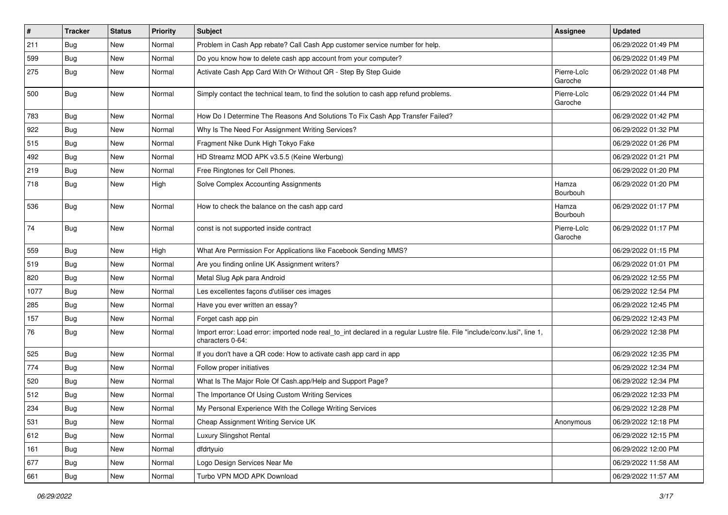| #    | <b>Tracker</b> | <b>Status</b> | <b>Priority</b> | <b>Subject</b>                                                                                                                               | <b>Assignee</b>        | <b>Updated</b>      |
|------|----------------|---------------|-----------------|----------------------------------------------------------------------------------------------------------------------------------------------|------------------------|---------------------|
| 211  | Bug            | New           | Normal          | Problem in Cash App rebate? Call Cash App customer service number for help.                                                                  |                        | 06/29/2022 01:49 PM |
| 599  | Bug            | New           | Normal          | Do you know how to delete cash app account from your computer?                                                                               |                        | 06/29/2022 01:49 PM |
| 275  | <b>Bug</b>     | New           | Normal          | Activate Cash App Card With Or Without QR - Step By Step Guide                                                                               | Pierre-Loïc<br>Garoche | 06/29/2022 01:48 PM |
| 500  | Bug            | New           | Normal          | Simply contact the technical team, to find the solution to cash app refund problems.                                                         | Pierre-Loïc<br>Garoche | 06/29/2022 01:44 PM |
| 783  | Bug            | New           | Normal          | How Do I Determine The Reasons And Solutions To Fix Cash App Transfer Failed?                                                                |                        | 06/29/2022 01:42 PM |
| 922  | Bug            | New           | Normal          | Why Is The Need For Assignment Writing Services?                                                                                             |                        | 06/29/2022 01:32 PM |
| 515  | <b>Bug</b>     | New           | Normal          | Fragment Nike Dunk High Tokyo Fake                                                                                                           |                        | 06/29/2022 01:26 PM |
| 492  | Bug            | New           | Normal          | HD Streamz MOD APK v3.5.5 (Keine Werbung)                                                                                                    |                        | 06/29/2022 01:21 PM |
| 219  | <b>Bug</b>     | New           | Normal          | Free Ringtones for Cell Phones.                                                                                                              |                        | 06/29/2022 01:20 PM |
| 718  | Bug            | New           | High            | Solve Complex Accounting Assignments                                                                                                         | Hamza<br>Bourbouh      | 06/29/2022 01:20 PM |
| 536  | Bug            | New           | Normal          | How to check the balance on the cash app card                                                                                                | Hamza<br>Bourbouh      | 06/29/2022 01:17 PM |
| 74   | <b>Bug</b>     | New           | Normal          | const is not supported inside contract                                                                                                       | Pierre-Loïc<br>Garoche | 06/29/2022 01:17 PM |
| 559  | Bug            | New           | High            | What Are Permission For Applications like Facebook Sending MMS?                                                                              |                        | 06/29/2022 01:15 PM |
| 519  | Bug            | New           | Normal          | Are you finding online UK Assignment writers?                                                                                                |                        | 06/29/2022 01:01 PM |
| 820  | Bug            | New           | Normal          | Metal Slug Apk para Android                                                                                                                  |                        | 06/29/2022 12:55 PM |
| 1077 | <b>Bug</b>     | New           | Normal          | Les excellentes façons d'utiliser ces images                                                                                                 |                        | 06/29/2022 12:54 PM |
| 285  | Bug            | New           | Normal          | Have you ever written an essay?                                                                                                              |                        | 06/29/2022 12:45 PM |
| 157  | <b>Bug</b>     | New           | Normal          | Forget cash app pin                                                                                                                          |                        | 06/29/2022 12:43 PM |
| 76   | Bug            | New           | Normal          | Import error: Load error: imported node real_to_int declared in a regular Lustre file. File "include/conv.lusi", line 1,<br>characters 0-64: |                        | 06/29/2022 12:38 PM |
| 525  | Bug            | New           | Normal          | If you don't have a QR code: How to activate cash app card in app                                                                            |                        | 06/29/2022 12:35 PM |
| 774  | <b>Bug</b>     | New           | Normal          | Follow proper initiatives                                                                                                                    |                        | 06/29/2022 12:34 PM |
| 520  | Bug            | New           | Normal          | What Is The Major Role Of Cash.app/Help and Support Page?                                                                                    |                        | 06/29/2022 12:34 PM |
| 512  | <b>Bug</b>     | New           | Normal          | The Importance Of Using Custom Writing Services                                                                                              |                        | 06/29/2022 12:33 PM |
| 234  | Bug            | New           | Normal          | My Personal Experience With the College Writing Services                                                                                     |                        | 06/29/2022 12:28 PM |
| 531  | <b>Bug</b>     | New           | Normal          | Cheap Assignment Writing Service UK                                                                                                          | Anonymous              | 06/29/2022 12:18 PM |
| 612  | Bug            | New           | Normal          | Luxury Slingshot Rental                                                                                                                      |                        | 06/29/2022 12:15 PM |
| 161  | <b>Bug</b>     | New           | Normal          | dfdrtyuio                                                                                                                                    |                        | 06/29/2022 12:00 PM |
| 677  | Bug            | New           | Normal          | Logo Design Services Near Me                                                                                                                 |                        | 06/29/2022 11:58 AM |
| 661  | Bug            | New           | Normal          | Turbo VPN MOD APK Download                                                                                                                   |                        | 06/29/2022 11:57 AM |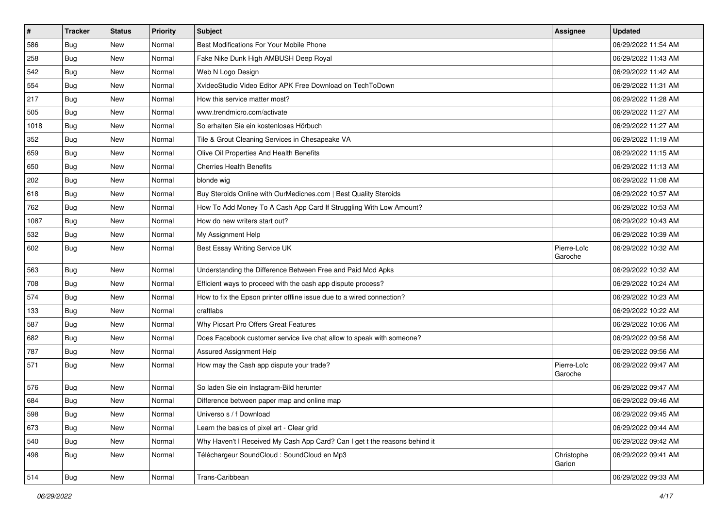| $\sharp$ | <b>Tracker</b> | <b>Status</b> | <b>Priority</b> | Subject                                                                    | Assignee               | <b>Updated</b>      |
|----------|----------------|---------------|-----------------|----------------------------------------------------------------------------|------------------------|---------------------|
| 586      | <b>Bug</b>     | New           | Normal          | Best Modifications For Your Mobile Phone                                   |                        | 06/29/2022 11:54 AM |
| 258      | Bug            | <b>New</b>    | Normal          | Fake Nike Dunk High AMBUSH Deep Royal                                      |                        | 06/29/2022 11:43 AM |
| 542      | Bug            | New           | Normal          | Web N Logo Design                                                          |                        | 06/29/2022 11:42 AM |
| 554      | Bug            | New           | Normal          | XvideoStudio Video Editor APK Free Download on TechToDown                  |                        | 06/29/2022 11:31 AM |
| 217      | Bug            | New           | Normal          | How this service matter most?                                              |                        | 06/29/2022 11:28 AM |
| 505      | Bug            | New           | Normal          | www.trendmicro.com/activate                                                |                        | 06/29/2022 11:27 AM |
| 1018     | Bug            | <b>New</b>    | Normal          | So erhalten Sie ein kostenloses Hörbuch                                    |                        | 06/29/2022 11:27 AM |
| 352      | <b>Bug</b>     | New           | Normal          | Tile & Grout Cleaning Services in Chesapeake VA                            |                        | 06/29/2022 11:19 AM |
| 659      | <b>Bug</b>     | <b>New</b>    | Normal          | Olive Oil Properties And Health Benefits                                   |                        | 06/29/2022 11:15 AM |
| 650      | Bug            | New           | Normal          | <b>Cherries Health Benefits</b>                                            |                        | 06/29/2022 11:13 AM |
| 202      | Bug            | <b>New</b>    | Normal          | blonde wig                                                                 |                        | 06/29/2022 11:08 AM |
| 618      | Bug            | New           | Normal          | Buy Steroids Online with OurMedicnes.com   Best Quality Steroids           |                        | 06/29/2022 10:57 AM |
| 762      | Bug            | New           | Normal          | How To Add Money To A Cash App Card If Struggling With Low Amount?         |                        | 06/29/2022 10:53 AM |
| 1087     | Bug            | New           | Normal          | How do new writers start out?                                              |                        | 06/29/2022 10:43 AM |
| 532      | <b>Bug</b>     | New           | Normal          | My Assignment Help                                                         |                        | 06/29/2022 10:39 AM |
| 602      | Bug            | New           | Normal          | Best Essay Writing Service UK                                              | Pierre-Loïc<br>Garoche | 06/29/2022 10:32 AM |
| 563      | Bug            | New           | Normal          | Understanding the Difference Between Free and Paid Mod Apks                |                        | 06/29/2022 10:32 AM |
| 708      | <b>Bug</b>     | New           | Normal          | Efficient ways to proceed with the cash app dispute process?               |                        | 06/29/2022 10:24 AM |
| 574      | Bug            | <b>New</b>    | Normal          | How to fix the Epson printer offline issue due to a wired connection?      |                        | 06/29/2022 10:23 AM |
| 133      | <b>Bug</b>     | New           | Normal          | craftlabs                                                                  |                        | 06/29/2022 10:22 AM |
| 587      | Bug            | New           | Normal          | Why Picsart Pro Offers Great Features                                      |                        | 06/29/2022 10:06 AM |
| 682      | Bug            | New           | Normal          | Does Facebook customer service live chat allow to speak with someone?      |                        | 06/29/2022 09:56 AM |
| 787      | <b>Bug</b>     | <b>New</b>    | Normal          | Assured Assignment Help                                                    |                        | 06/29/2022 09:56 AM |
| 571      | Bug            | New           | Normal          | How may the Cash app dispute your trade?                                   | Pierre-Loïc<br>Garoche | 06/29/2022 09:47 AM |
| 576      | Bug            | New           | Normal          | So laden Sie ein Instagram-Bild herunter                                   |                        | 06/29/2022 09:47 AM |
| 684      | <b>Bug</b>     | <b>New</b>    | Normal          | Difference between paper map and online map                                |                        | 06/29/2022 09:46 AM |
| 598      | Bug            | New           | Normal          | Universo s / f Download                                                    |                        | 06/29/2022 09:45 AM |
| 673      | Bug            | New           | Normal          | Learn the basics of pixel art - Clear grid                                 |                        | 06/29/2022 09:44 AM |
| 540      | Bug            | New           | Normal          | Why Haven't I Received My Cash App Card? Can I get t the reasons behind it |                        | 06/29/2022 09:42 AM |
| 498      | <b>Bug</b>     | New           | Normal          | Téléchargeur SoundCloud : SoundCloud en Mp3                                | Christophe<br>Garion   | 06/29/2022 09:41 AM |
| 514      | <b>Bug</b>     | New           | Normal          | Trans-Caribbean                                                            |                        | 06/29/2022 09:33 AM |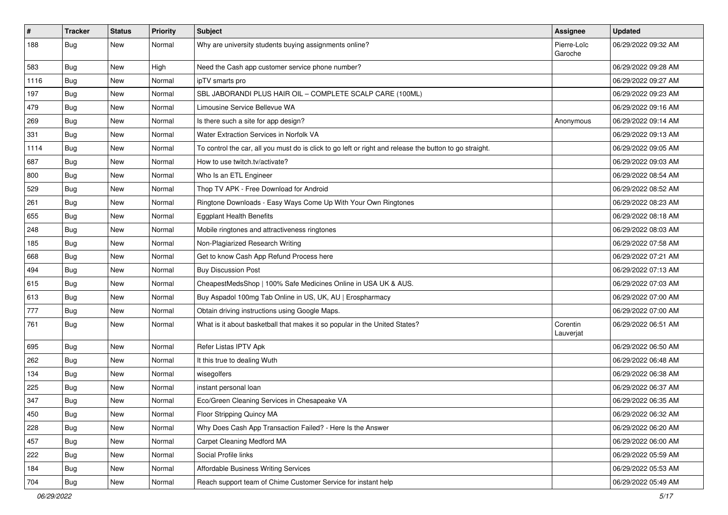| $\vert$ # | Tracker    | <b>Status</b> | Priority | <b>Subject</b>                                                                                          | <b>Assignee</b>        | <b>Updated</b>      |
|-----------|------------|---------------|----------|---------------------------------------------------------------------------------------------------------|------------------------|---------------------|
| 188       | Bug        | New           | Normal   | Why are university students buying assignments online?                                                  | Pierre-Loïc<br>Garoche | 06/29/2022 09:32 AM |
| 583       | Bug        | New           | High     | Need the Cash app customer service phone number?                                                        |                        | 06/29/2022 09:28 AM |
| 1116      | <b>Bug</b> | New           | Normal   | ipTV smarts pro                                                                                         |                        | 06/29/2022 09:27 AM |
| 197       | Bug        | New           | Normal   | SBL JABORANDI PLUS HAIR OIL - COMPLETE SCALP CARE (100ML)                                               |                        | 06/29/2022 09:23 AM |
| 479       | <b>Bug</b> | New           | Normal   | Limousine Service Bellevue WA                                                                           |                        | 06/29/2022 09:16 AM |
| 269       | Bug        | New           | Normal   | Is there such a site for app design?                                                                    | Anonymous              | 06/29/2022 09:14 AM |
| 331       | <b>Bug</b> | New           | Normal   | Water Extraction Services in Norfolk VA                                                                 |                        | 06/29/2022 09:13 AM |
| 1114      | <b>Bug</b> | New           | Normal   | To control the car, all you must do is click to go left or right and release the button to go straight. |                        | 06/29/2022 09:05 AM |
| 687       | Bug        | New           | Normal   | How to use twitch.tv/activate?                                                                          |                        | 06/29/2022 09:03 AM |
| 800       | Bug        | New           | Normal   | Who Is an ETL Engineer                                                                                  |                        | 06/29/2022 08:54 AM |
| 529       | <b>Bug</b> | New           | Normal   | Thop TV APK - Free Download for Android                                                                 |                        | 06/29/2022 08:52 AM |
| 261       | Bug        | New           | Normal   | Ringtone Downloads - Easy Ways Come Up With Your Own Ringtones                                          |                        | 06/29/2022 08:23 AM |
| 655       | <b>Bug</b> | New           | Normal   | <b>Eggplant Health Benefits</b>                                                                         |                        | 06/29/2022 08:18 AM |
| 248       | Bug        | New           | Normal   | Mobile ringtones and attractiveness ringtones                                                           |                        | 06/29/2022 08:03 AM |
| 185       | <b>Bug</b> | New           | Normal   | Non-Plagiarized Research Writing                                                                        |                        | 06/29/2022 07:58 AM |
| 668       | <b>Bug</b> | New           | Normal   | Get to know Cash App Refund Process here                                                                |                        | 06/29/2022 07:21 AM |
| 494       | Bug        | New           | Normal   | <b>Buy Discussion Post</b>                                                                              |                        | 06/29/2022 07:13 AM |
| 615       | <b>Bug</b> | New           | Normal   | CheapestMedsShop   100% Safe Medicines Online in USA UK & AUS.                                          |                        | 06/29/2022 07:03 AM |
| 613       | Bug        | New           | Normal   | Buy Aspadol 100mg Tab Online in US, UK, AU   Erospharmacy                                               |                        | 06/29/2022 07:00 AM |
| 777       | Bug        | New           | Normal   | Obtain driving instructions using Google Maps.                                                          |                        | 06/29/2022 07:00 AM |
| 761       | Bug        | New           | Normal   | What is it about basketball that makes it so popular in the United States?                              | Corentin<br>Lauverjat  | 06/29/2022 06:51 AM |
| 695       | Bug        | New           | Normal   | Refer Listas IPTV Apk                                                                                   |                        | 06/29/2022 06:50 AM |
| 262       | <b>Bug</b> | New           | Normal   | It this true to dealing Wuth                                                                            |                        | 06/29/2022 06:48 AM |
| 134       | Bug        | <b>New</b>    | Normal   | wisegolfers                                                                                             |                        | 06/29/2022 06:38 AM |
| 225       | <b>Bug</b> | New           | Normal   | instant personal loan                                                                                   |                        | 06/29/2022 06:37 AM |
| 347       | <b>Bug</b> | New           | Normal   | Eco/Green Cleaning Services in Chesapeake VA                                                            |                        | 06/29/2022 06:35 AM |
| 450       | Bug        | New           | Normal   | Floor Stripping Quincy MA                                                                               |                        | 06/29/2022 06:32 AM |
| 228       | Bug        | New           | Normal   | Why Does Cash App Transaction Failed? - Here Is the Answer                                              |                        | 06/29/2022 06:20 AM |
| 457       | Bug        | New           | Normal   | Carpet Cleaning Medford MA                                                                              |                        | 06/29/2022 06:00 AM |
| 222       | <b>Bug</b> | New           | Normal   | Social Profile links                                                                                    |                        | 06/29/2022 05:59 AM |
| 184       | Bug        | New           | Normal   | Affordable Business Writing Services                                                                    |                        | 06/29/2022 05:53 AM |
| 704       | <b>Bug</b> | New           | Normal   | Reach support team of Chime Customer Service for instant help                                           |                        | 06/29/2022 05:49 AM |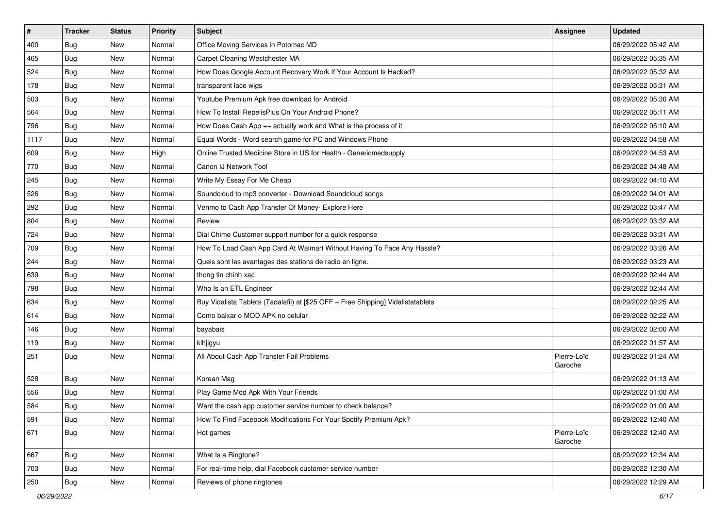| $\sharp$ | <b>Tracker</b> | <b>Status</b> | Priority | Subject                                                                          | <b>Assignee</b>        | <b>Updated</b>      |
|----------|----------------|---------------|----------|----------------------------------------------------------------------------------|------------------------|---------------------|
| 400      | <b>Bug</b>     | New           | Normal   | Office Moving Services in Potomac MD                                             |                        | 06/29/2022 05:42 AM |
| 465      | Bug            | New           | Normal   | Carpet Cleaning Westchester MA                                                   |                        | 06/29/2022 05:35 AM |
| 524      | Bug            | New           | Normal   | How Does Google Account Recovery Work If Your Account Is Hacked?                 |                        | 06/29/2022 05:32 AM |
| 178      | <b>Bug</b>     | <b>New</b>    | Normal   | transparent lace wigs                                                            |                        | 06/29/2022 05:31 AM |
| 503      | Bug            | New           | Normal   | Youtube Premium Apk free download for Android                                    |                        | 06/29/2022 05:30 AM |
| 564      | <b>Bug</b>     | New           | Normal   | How To Install RepelisPlus On Your Android Phone?                                |                        | 06/29/2022 05:11 AM |
| 796      | Bug            | New           | Normal   | How Does Cash App ++ actually work and What is the process of it                 |                        | 06/29/2022 05:10 AM |
| 1117     | Bug            | New           | Normal   | Equal Words - Word search game for PC and Windows Phone                          |                        | 06/29/2022 04:58 AM |
| 609      | Bug            | New           | High     | Online Trusted Medicine Store in US for Health - Genericmedsupply                |                        | 06/29/2022 04:53 AM |
| 770      | Bug            | New           | Normal   | Canon IJ Network Tool                                                            |                        | 06/29/2022 04:48 AM |
| 245      | Bug            | New           | Normal   | Write My Essay For Me Cheap                                                      |                        | 06/29/2022 04:10 AM |
| 526      | Bug            | New           | Normal   | Soundcloud to mp3 converter - Download Soundcloud songs                          |                        | 06/29/2022 04:01 AM |
| 292      | Bug            | New           | Normal   | Venmo to Cash App Transfer Of Money- Explore Here                                |                        | 06/29/2022 03:47 AM |
| 804      | <b>Bug</b>     | New           | Normal   | Review                                                                           |                        | 06/29/2022 03:32 AM |
| 724      | Bug            | <b>New</b>    | Normal   | Dial Chime Customer support number for a quick response                          |                        | 06/29/2022 03:31 AM |
| 709      | <b>Bug</b>     | New           | Normal   | How To Load Cash App Card At Walmart Without Having To Face Any Hassle?          |                        | 06/29/2022 03:26 AM |
| 244      | <b>Bug</b>     | New           | Normal   | Quels sont les avantages des stations de radio en ligne.                         |                        | 06/29/2022 03:23 AM |
| 639      | Bug            | New           | Normal   | thong tin chinh xac                                                              |                        | 06/29/2022 02:44 AM |
| 798      | <b>Bug</b>     | New           | Normal   | Who Is an ETL Engineer                                                           |                        | 06/29/2022 02:44 AM |
| 634      | Bug            | <b>New</b>    | Normal   | Buy Vidalista Tablets (Tadalafil) at [\$25 OFF + Free Shipping] Vidalistatablets |                        | 06/29/2022 02:25 AM |
| 614      | <b>Bug</b>     | New           | Normal   | Como baixar o MOD APK no celular                                                 |                        | 06/29/2022 02:22 AM |
| 146      | <b>Bug</b>     | New           | Normal   | bayabais                                                                         |                        | 06/29/2022 02:00 AM |
| 119      | Bug            | New           | Normal   | klhjigyu                                                                         |                        | 06/29/2022 01:57 AM |
| 251      | Bug            | New           | Normal   | All About Cash App Transfer Fail Problems                                        | Pierre-Loïc<br>Garoche | 06/29/2022 01:24 AM |
| 528      | Bug            | New           | Normal   | Korean Mag                                                                       |                        | 06/29/2022 01:13 AM |
| 556      | <b>Bug</b>     | New           | Normal   | Play Game Mod Apk With Your Friends                                              |                        | 06/29/2022 01:00 AM |
| 584      | <b>Bug</b>     | New           | Normal   | Want the cash app customer service number to check balance?                      |                        | 06/29/2022 01:00 AM |
| 591      | Bug            | New           | Normal   | How To Find Facebook Modifications For Your Spotify Premium Apk?                 |                        | 06/29/2022 12:40 AM |
| 671      | <b>Bug</b>     | New           | Normal   | Hot games                                                                        | Pierre-Loïc<br>Garoche | 06/29/2022 12:40 AM |
| 667      | Bug            | New           | Normal   | What Is a Ringtone?                                                              |                        | 06/29/2022 12:34 AM |
| 703      | Bug            | New           | Normal   | For real-time help, dial Facebook customer service number                        |                        | 06/29/2022 12:30 AM |
| 250      | Bug            | New           | Normal   | Reviews of phone ringtones                                                       |                        | 06/29/2022 12:29 AM |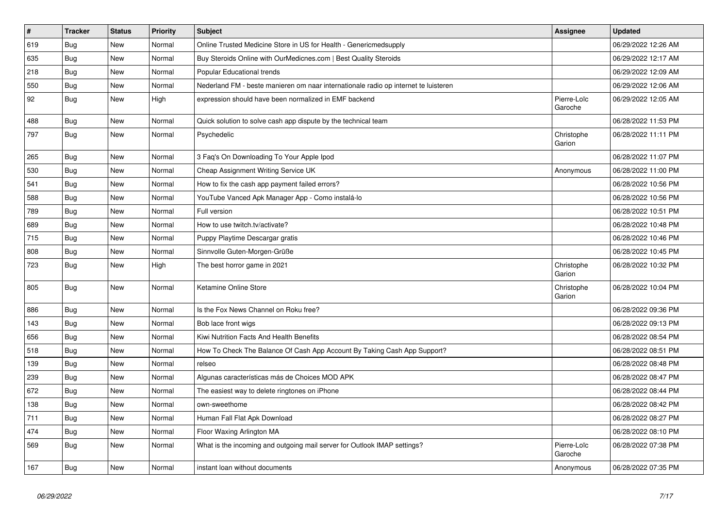| $\vert$ # | <b>Tracker</b> | <b>Status</b> | <b>Priority</b> | <b>Subject</b>                                                                      | Assignee               | <b>Updated</b>      |
|-----------|----------------|---------------|-----------------|-------------------------------------------------------------------------------------|------------------------|---------------------|
| 619       | <b>Bug</b>     | <b>New</b>    | Normal          | Online Trusted Medicine Store in US for Health - Genericmedsupply                   |                        | 06/29/2022 12:26 AM |
| 635       | Bug            | <b>New</b>    | Normal          | Buy Steroids Online with OurMedicnes.com   Best Quality Steroids                    |                        | 06/29/2022 12:17 AM |
| 218       | Bug            | <b>New</b>    | Normal          | <b>Popular Educational trends</b>                                                   |                        | 06/29/2022 12:09 AM |
| 550       | Bug            | <b>New</b>    | Normal          | Nederland FM - beste manieren om naar internationale radio op internet te luisteren |                        | 06/29/2022 12:06 AM |
| 92        | Bug            | New           | High            | expression should have been normalized in EMF backend                               | Pierre-Loïc<br>Garoche | 06/29/2022 12:05 AM |
| 488       | Bug            | New           | Normal          | Quick solution to solve cash app dispute by the technical team                      |                        | 06/28/2022 11:53 PM |
| 797       | Bug            | New           | Normal          | Psychedelic                                                                         | Christophe<br>Garion   | 06/28/2022 11:11 PM |
| 265       | Bug            | New           | Normal          | 3 Faq's On Downloading To Your Apple Ipod                                           |                        | 06/28/2022 11:07 PM |
| 530       | Bug            | New           | Normal          | Cheap Assignment Writing Service UK                                                 | Anonymous              | 06/28/2022 11:00 PM |
| 541       | Bug            | <b>New</b>    | Normal          | How to fix the cash app payment failed errors?                                      |                        | 06/28/2022 10:56 PM |
| 588       | <b>Bug</b>     | New           | Normal          | YouTube Vanced Apk Manager App - Como instalá-lo                                    |                        | 06/28/2022 10:56 PM |
| 789       | Bug            | New           | Normal          | Full version                                                                        |                        | 06/28/2022 10:51 PM |
| 689       | Bug            | New           | Normal          | How to use twitch.tv/activate?                                                      |                        | 06/28/2022 10:48 PM |
| 715       | Bug            | <b>New</b>    | Normal          | Puppy Playtime Descargar gratis                                                     |                        | 06/28/2022 10:46 PM |
| 808       | Bug            | <b>New</b>    | Normal          | Sinnvolle Guten-Morgen-Grüße                                                        |                        | 06/28/2022 10:45 PM |
| 723       | Bug            | <b>New</b>    | High            | The best horror game in 2021                                                        | Christophe<br>Garion   | 06/28/2022 10:32 PM |
| 805       | Bug            | <b>New</b>    | Normal          | Ketamine Online Store                                                               | Christophe<br>Garion   | 06/28/2022 10:04 PM |
| 886       | Bug            | New           | Normal          | Is the Fox News Channel on Roku free?                                               |                        | 06/28/2022 09:36 PM |
| 143       | <b>Bug</b>     | <b>New</b>    | Normal          | Bob lace front wigs                                                                 |                        | 06/28/2022 09:13 PM |
| 656       | <b>Bug</b>     | <b>New</b>    | Normal          | Kiwi Nutrition Facts And Health Benefits                                            |                        | 06/28/2022 08:54 PM |
| 518       | Bug            | <b>New</b>    | Normal          | How To Check The Balance Of Cash App Account By Taking Cash App Support?            |                        | 06/28/2022 08:51 PM |
| 139       | Bug            | New           | Normal          | relseo                                                                              |                        | 06/28/2022 08:48 PM |
| 239       | <b>Bug</b>     | New           | Normal          | Algunas características más de Choices MOD APK                                      |                        | 06/28/2022 08:47 PM |
| 672       | Bug            | New           | Normal          | The easiest way to delete ringtones on iPhone                                       |                        | 06/28/2022 08:44 PM |
| 138       | Bug            | New           | Normal          | own-sweethome                                                                       |                        | 06/28/2022 08:42 PM |
| 711       | Bug            | <b>New</b>    | Normal          | Human Fall Flat Apk Download                                                        |                        | 06/28/2022 08:27 PM |
| 474       | Bug            | New           | Normal          | Floor Waxing Arlington MA                                                           |                        | 06/28/2022 08:10 PM |
| 569       | Bug            | New           | Normal          | What is the incoming and outgoing mail server for Outlook IMAP settings?            | Pierre-Loïc<br>Garoche | 06/28/2022 07:38 PM |
| 167       | Bug            | New           | Normal          | instant loan without documents                                                      | Anonymous              | 06/28/2022 07:35 PM |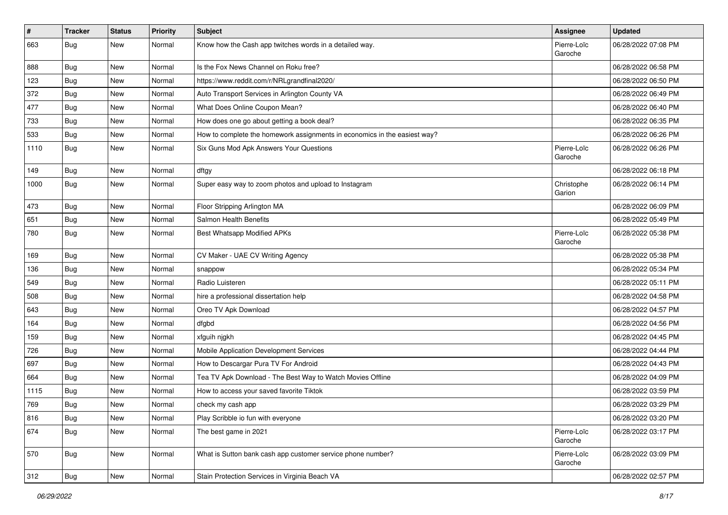| #    | <b>Tracker</b> | <b>Status</b> | <b>Priority</b> | <b>Subject</b>                                                            | Assignee               | <b>Updated</b>      |
|------|----------------|---------------|-----------------|---------------------------------------------------------------------------|------------------------|---------------------|
| 663  | <b>Bug</b>     | New           | Normal          | Know how the Cash app twitches words in a detailed way.                   | Pierre-Loïc<br>Garoche | 06/28/2022 07:08 PM |
| 888  | <b>Bug</b>     | New           | Normal          | Is the Fox News Channel on Roku free?                                     |                        | 06/28/2022 06:58 PM |
| 123  | Bug            | New           | Normal          | https://www.reddit.com/r/NRLgrandfinal2020/                               |                        | 06/28/2022 06:50 PM |
| 372  | Bug            | New           | Normal          | Auto Transport Services in Arlington County VA                            |                        | 06/28/2022 06:49 PM |
| 477  | Bug            | New           | Normal          | What Does Online Coupon Mean?                                             |                        | 06/28/2022 06:40 PM |
| 733  | Bug            | New           | Normal          | How does one go about getting a book deal?                                |                        | 06/28/2022 06:35 PM |
| 533  | Bug            | New           | Normal          | How to complete the homework assignments in economics in the easiest way? |                        | 06/28/2022 06:26 PM |
| 1110 | Bug            | New           | Normal          | Six Guns Mod Apk Answers Your Questions                                   | Pierre-Loïc<br>Garoche | 06/28/2022 06:26 PM |
| 149  | Bug            | <b>New</b>    | Normal          | dftgy                                                                     |                        | 06/28/2022 06:18 PM |
| 1000 | Bug            | New           | Normal          | Super easy way to zoom photos and upload to Instagram                     | Christophe<br>Garion   | 06/28/2022 06:14 PM |
| 473  | Bug            | New           | Normal          | Floor Stripping Arlington MA                                              |                        | 06/28/2022 06:09 PM |
| 651  | Bug            | New           | Normal          | Salmon Health Benefits                                                    |                        | 06/28/2022 05:49 PM |
| 780  | Bug            | New           | Normal          | Best Whatsapp Modified APKs                                               | Pierre-Loïc<br>Garoche | 06/28/2022 05:38 PM |
| 169  | Bug            | New           | Normal          | CV Maker - UAE CV Writing Agency                                          |                        | 06/28/2022 05:38 PM |
| 136  | <b>Bug</b>     | New           | Normal          | snappow                                                                   |                        | 06/28/2022 05:34 PM |
| 549  | Bug            | New           | Normal          | Radio Luisteren                                                           |                        | 06/28/2022 05:11 PM |
| 508  | Bug            | New           | Normal          | hire a professional dissertation help                                     |                        | 06/28/2022 04:58 PM |
| 643  | <b>Bug</b>     | New           | Normal          | Oreo TV Apk Download                                                      |                        | 06/28/2022 04:57 PM |
| 164  | Bug            | New           | Normal          | dfgbd                                                                     |                        | 06/28/2022 04:56 PM |
| 159  | Bug            | New           | Normal          | xfguih njgkh                                                              |                        | 06/28/2022 04:45 PM |
| 726  | <b>Bug</b>     | New           | Normal          | Mobile Application Development Services                                   |                        | 06/28/2022 04:44 PM |
| 697  | Bug            | New           | Normal          | How to Descargar Pura TV For Android                                      |                        | 06/28/2022 04:43 PM |
| 664  | Bug            | New           | Normal          | Tea TV Apk Download - The Best Way to Watch Movies Offline                |                        | 06/28/2022 04:09 PM |
| 1115 | <b>Bug</b>     | New           | Normal          | How to access your saved favorite Tiktok                                  |                        | 06/28/2022 03:59 PM |
| 769  | <b>Bug</b>     | New           | Normal          | check my cash app                                                         |                        | 06/28/2022 03:29 PM |
| 816  | <b>Bug</b>     | New           | Normal          | Play Scribble io fun with everyone                                        |                        | 06/28/2022 03:20 PM |
| 674  | <b>Bug</b>     | New           | Normal          | The best game in 2021                                                     | Pierre-Loïc<br>Garoche | 06/28/2022 03:17 PM |
| 570  | Bug            | New           | Normal          | What is Sutton bank cash app customer service phone number?               | Pierre-Loïc<br>Garoche | 06/28/2022 03:09 PM |
| 312  | <b>Bug</b>     | New           | Normal          | Stain Protection Services in Virginia Beach VA                            |                        | 06/28/2022 02:57 PM |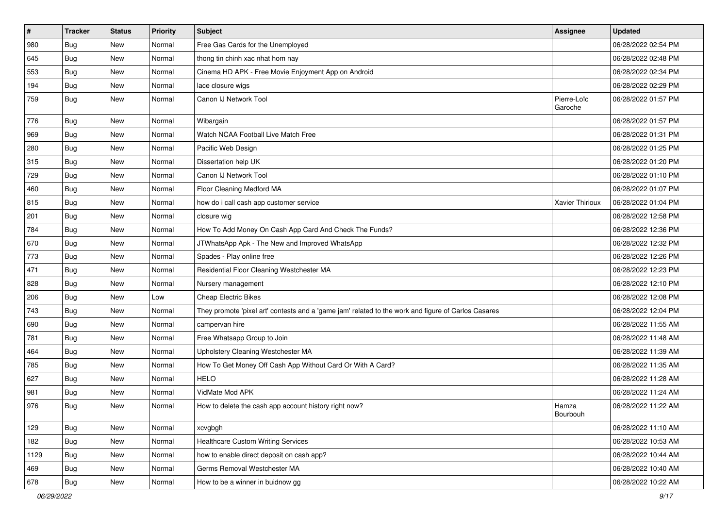| $\vert$ # | <b>Tracker</b> | <b>Status</b> | Priority | <b>Subject</b>                                                                                      | <b>Assignee</b>        | <b>Updated</b>      |
|-----------|----------------|---------------|----------|-----------------------------------------------------------------------------------------------------|------------------------|---------------------|
| 980       | Bug            | New           | Normal   | Free Gas Cards for the Unemployed                                                                   |                        | 06/28/2022 02:54 PM |
| 645       | Bug            | New           | Normal   | thong tin chinh xac nhat hom nay                                                                    |                        | 06/28/2022 02:48 PM |
| 553       | <b>Bug</b>     | New           | Normal   | Cinema HD APK - Free Movie Enjoyment App on Android                                                 |                        | 06/28/2022 02:34 PM |
| 194       | <b>Bug</b>     | New           | Normal   | lace closure wigs                                                                                   |                        | 06/28/2022 02:29 PM |
| 759       | Bug            | New           | Normal   | Canon IJ Network Tool                                                                               | Pierre-Loïc<br>Garoche | 06/28/2022 01:57 PM |
| 776       | Bug            | New           | Normal   | Wibargain                                                                                           |                        | 06/28/2022 01:57 PM |
| 969       | Bug            | New           | Normal   | Watch NCAA Football Live Match Free                                                                 |                        | 06/28/2022 01:31 PM |
| 280       | Bug            | New           | Normal   | Pacific Web Design                                                                                  |                        | 06/28/2022 01:25 PM |
| 315       | <b>Bug</b>     | New           | Normal   | Dissertation help UK                                                                                |                        | 06/28/2022 01:20 PM |
| 729       | Bug            | New           | Normal   | Canon IJ Network Tool                                                                               |                        | 06/28/2022 01:10 PM |
| 460       | <b>Bug</b>     | New           | Normal   | Floor Cleaning Medford MA                                                                           |                        | 06/28/2022 01:07 PM |
| 815       | Bug            | New           | Normal   | how do i call cash app customer service                                                             | <b>Xavier Thirioux</b> | 06/28/2022 01:04 PM |
| 201       | Bug            | New           | Normal   | closure wig                                                                                         |                        | 06/28/2022 12:58 PM |
| 784       | Bug            | New           | Normal   | How To Add Money On Cash App Card And Check The Funds?                                              |                        | 06/28/2022 12:36 PM |
| 670       | <b>Bug</b>     | New           | Normal   | JTWhatsApp Apk - The New and Improved WhatsApp                                                      |                        | 06/28/2022 12:32 PM |
| 773       | Bug            | New           | Normal   | Spades - Play online free                                                                           |                        | 06/28/2022 12:26 PM |
| 471       | Bug            | New           | Normal   | Residential Floor Cleaning Westchester MA                                                           |                        | 06/28/2022 12:23 PM |
| 828       | Bug            | New           | Normal   | Nursery management                                                                                  |                        | 06/28/2022 12:10 PM |
| 206       | <b>Bug</b>     | New           | Low      | <b>Cheap Electric Bikes</b>                                                                         |                        | 06/28/2022 12:08 PM |
| 743       | Bug            | <b>New</b>    | Normal   | They promote 'pixel art' contests and a 'game jam' related to the work and figure of Carlos Casares |                        | 06/28/2022 12:04 PM |
| 690       | <b>Bug</b>     | New           | Normal   | campervan hire                                                                                      |                        | 06/28/2022 11:55 AM |
| 781       | Bug            | New           | Normal   | Free Whatsapp Group to Join                                                                         |                        | 06/28/2022 11:48 AM |
| 464       | Bug            | New           | Normal   | Upholstery Cleaning Westchester MA                                                                  |                        | 06/28/2022 11:39 AM |
| 785       | <b>Bug</b>     | New           | Normal   | How To Get Money Off Cash App Without Card Or With A Card?                                          |                        | 06/28/2022 11:35 AM |
| 627       | <b>Bug</b>     | <b>New</b>    | Normal   | <b>HELO</b>                                                                                         |                        | 06/28/2022 11:28 AM |
| 981       | <b>Bug</b>     | New           | Normal   | VidMate Mod APK                                                                                     |                        | 06/28/2022 11:24 AM |
| 976       | <b>Bug</b>     | New           | Normal   | How to delete the cash app account history right now?                                               | Hamza<br>Bourbouh      | 06/28/2022 11:22 AM |
| 129       | Bug            | <b>New</b>    | Normal   | xcvgbgh                                                                                             |                        | 06/28/2022 11:10 AM |
| 182       | Bug            | <b>New</b>    | Normal   | <b>Healthcare Custom Writing Services</b>                                                           |                        | 06/28/2022 10:53 AM |
| 1129      | Bug            | New           | Normal   | how to enable direct deposit on cash app?                                                           |                        | 06/28/2022 10:44 AM |
| 469       | Bug            | New           | Normal   | Germs Removal Westchester MA                                                                        |                        | 06/28/2022 10:40 AM |
| 678       | <b>Bug</b>     | New           | Normal   | How to be a winner in buidnow gg                                                                    |                        | 06/28/2022 10:22 AM |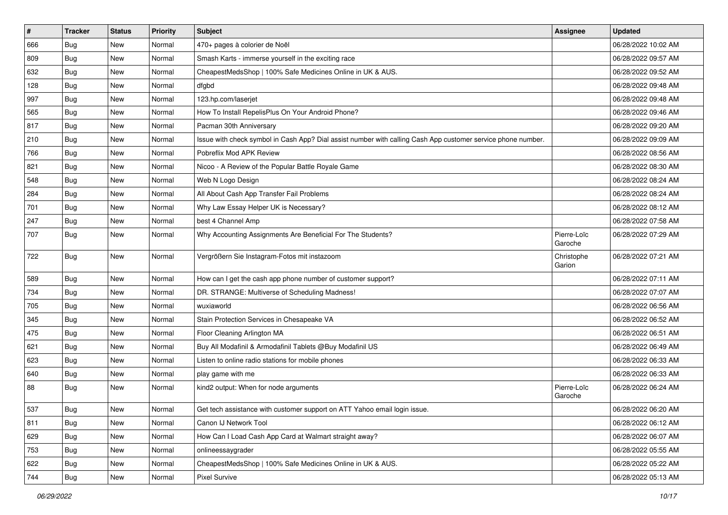| $\sharp$ | <b>Tracker</b> | <b>Status</b> | Priority | Subject                                                                                                      | <b>Assignee</b>        | <b>Updated</b>      |
|----------|----------------|---------------|----------|--------------------------------------------------------------------------------------------------------------|------------------------|---------------------|
| 666      | <b>Bug</b>     | New           | Normal   | 470+ pages à colorier de Noël                                                                                |                        | 06/28/2022 10:02 AM |
| 809      | <b>Bug</b>     | New           | Normal   | Smash Karts - immerse yourself in the exciting race                                                          |                        | 06/28/2022 09:57 AM |
| 632      | Bug            | New           | Normal   | CheapestMedsShop   100% Safe Medicines Online in UK & AUS.                                                   |                        | 06/28/2022 09:52 AM |
| 128      | <b>Bug</b>     | <b>New</b>    | Normal   | dfgbd                                                                                                        |                        | 06/28/2022 09:48 AM |
| 997      | Bug            | New           | Normal   | 123.hp.com/laserjet                                                                                          |                        | 06/28/2022 09:48 AM |
| 565      | <b>Bug</b>     | New           | Normal   | How To Install RepelisPlus On Your Android Phone?                                                            |                        | 06/28/2022 09:46 AM |
| 817      | Bug            | New           | Normal   | Pacman 30th Anniversary                                                                                      |                        | 06/28/2022 09:20 AM |
| 210      | <b>Bug</b>     | New           | Normal   | Issue with check symbol in Cash App? Dial assist number with calling Cash App customer service phone number. |                        | 06/28/2022 09:09 AM |
| 766      | <b>Bug</b>     | New           | Normal   | Pobreflix Mod APK Review                                                                                     |                        | 06/28/2022 08:56 AM |
| 821      | Bug            | <b>New</b>    | Normal   | Nicoo - A Review of the Popular Battle Royale Game                                                           |                        | 06/28/2022 08:30 AM |
| 548      | Bug            | New           | Normal   | Web N Logo Design                                                                                            |                        | 06/28/2022 08:24 AM |
| 284      | Bug            | New           | Normal   | All About Cash App Transfer Fail Problems                                                                    |                        | 06/28/2022 08:24 AM |
| 701      | <b>Bug</b>     | New           | Normal   | Why Law Essay Helper UK is Necessary?                                                                        |                        | 06/28/2022 08:12 AM |
| 247      | <b>Bug</b>     | New           | Normal   | best 4 Channel Amp                                                                                           |                        | 06/28/2022 07:58 AM |
| 707      | Bug            | New           | Normal   | Why Accounting Assignments Are Beneficial For The Students?                                                  | Pierre-Loïc<br>Garoche | 06/28/2022 07:29 AM |
| 722      | Bug            | New           | Normal   | Vergrößern Sie Instagram-Fotos mit instazoom                                                                 | Christophe<br>Garion   | 06/28/2022 07:21 AM |
| 589      | Bug            | New           | Normal   | How can I get the cash app phone number of customer support?                                                 |                        | 06/28/2022 07:11 AM |
| 734      | <b>Bug</b>     | New           | Normal   | DR. STRANGE: Multiverse of Scheduling Madness!                                                               |                        | 06/28/2022 07:07 AM |
| 705      | Bug            | New           | Normal   | wuxiaworld                                                                                                   |                        | 06/28/2022 06:56 AM |
| 345      | <b>Bug</b>     | New           | Normal   | Stain Protection Services in Chesapeake VA                                                                   |                        | 06/28/2022 06:52 AM |
| 475      | <b>Bug</b>     | <b>New</b>    | Normal   | Floor Cleaning Arlington MA                                                                                  |                        | 06/28/2022 06:51 AM |
| 621      | Bug            | New           | Normal   | Buy All Modafinil & Armodafinil Tablets @Buy Modafinil US                                                    |                        | 06/28/2022 06:49 AM |
| 623      | <b>Bug</b>     | New           | Normal   | Listen to online radio stations for mobile phones                                                            |                        | 06/28/2022 06:33 AM |
| 640      | Bug            | New           | Normal   | play game with me                                                                                            |                        | 06/28/2022 06:33 AM |
| 88       | <b>Bug</b>     | New           | Normal   | kind2 output: When for node arguments                                                                        | Pierre-Loïc<br>Garoche | 06/28/2022 06:24 AM |
| 537      | Bug            | New           | Normal   | Get tech assistance with customer support on ATT Yahoo email login issue.                                    |                        | 06/28/2022 06:20 AM |
| 811      | Bug            | New           | Normal   | Canon IJ Network Tool                                                                                        |                        | 06/28/2022 06:12 AM |
| 629      | Bug            | New           | Normal   | How Can I Load Cash App Card at Walmart straight away?                                                       |                        | 06/28/2022 06:07 AM |
| 753      | Bug            | New           | Normal   | onlineessaygrader                                                                                            |                        | 06/28/2022 05:55 AM |
| 622      | Bug            | New           | Normal   | CheapestMedsShop   100% Safe Medicines Online in UK & AUS.                                                   |                        | 06/28/2022 05:22 AM |
| 744      | <b>Bug</b>     | New           | Normal   | <b>Pixel Survive</b>                                                                                         |                        | 06/28/2022 05:13 AM |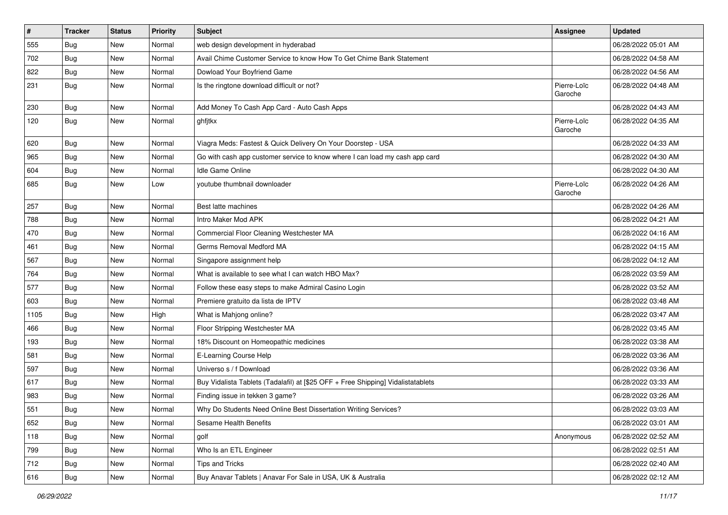| $\sharp$ | <b>Tracker</b> | <b>Status</b> | <b>Priority</b> | <b>Subject</b>                                                                   | Assignee               | <b>Updated</b>      |
|----------|----------------|---------------|-----------------|----------------------------------------------------------------------------------|------------------------|---------------------|
| 555      | <b>Bug</b>     | New           | Normal          | web design development in hyderabad                                              |                        | 06/28/2022 05:01 AM |
| 702      | Bug            | New           | Normal          | Avail Chime Customer Service to know How To Get Chime Bank Statement             |                        | 06/28/2022 04:58 AM |
| 822      | Bug            | New           | Normal          | Dowload Your Boyfriend Game                                                      |                        | 06/28/2022 04:56 AM |
| 231      | <b>Bug</b>     | New           | Normal          | Is the ringtone download difficult or not?                                       | Pierre-Loïc<br>Garoche | 06/28/2022 04:48 AM |
| 230      | Bug            | New           | Normal          | Add Money To Cash App Card - Auto Cash Apps                                      |                        | 06/28/2022 04:43 AM |
| 120      | Bug            | New           | Normal          | ghfjtkx                                                                          | Pierre-Loïc<br>Garoche | 06/28/2022 04:35 AM |
| 620      | <b>Bug</b>     | New           | Normal          | Viagra Meds: Fastest & Quick Delivery On Your Doorstep - USA                     |                        | 06/28/2022 04:33 AM |
| 965      | <b>Bug</b>     | New           | Normal          | Go with cash app customer service to know where I can load my cash app card      |                        | 06/28/2022 04:30 AM |
| 604      | Bug            | New           | Normal          | Idle Game Online                                                                 |                        | 06/28/2022 04:30 AM |
| 685      | <b>Bug</b>     | New           | Low             | youtube thumbnail downloader                                                     | Pierre-Loïc<br>Garoche | 06/28/2022 04:26 AM |
| 257      | Bug            | New           | Normal          | Best latte machines                                                              |                        | 06/28/2022 04:26 AM |
| 788      | <b>Bug</b>     | New           | Normal          | Intro Maker Mod APK                                                              |                        | 06/28/2022 04:21 AM |
| 470      | Bug            | New           | Normal          | Commercial Floor Cleaning Westchester MA                                         |                        | 06/28/2022 04:16 AM |
| 461      | Bug            | New           | Normal          | Germs Removal Medford MA                                                         |                        | 06/28/2022 04:15 AM |
| 567      | Bug            | <b>New</b>    | Normal          | Singapore assignment help                                                        |                        | 06/28/2022 04:12 AM |
| 764      | Bug            | New           | Normal          | What is available to see what I can watch HBO Max?                               |                        | 06/28/2022 03:59 AM |
| 577      | <b>Bug</b>     | New           | Normal          | Follow these easy steps to make Admiral Casino Login                             |                        | 06/28/2022 03:52 AM |
| 603      | Bug            | New           | Normal          | Premiere gratuito da lista de IPTV                                               |                        | 06/28/2022 03:48 AM |
| 1105     | Bug            | New           | High            | What is Mahjong online?                                                          |                        | 06/28/2022 03:47 AM |
| 466      | Bug            | New           | Normal          | Floor Stripping Westchester MA                                                   |                        | 06/28/2022 03:45 AM |
| 193      | Bug            | New           | Normal          | 18% Discount on Homeopathic medicines                                            |                        | 06/28/2022 03:38 AM |
| 581      | Bug            | New           | Normal          | E-Learning Course Help                                                           |                        | 06/28/2022 03:36 AM |
| 597      | Bug            | New           | Normal          | Universo s / f Download                                                          |                        | 06/28/2022 03:36 AM |
| 617      | <b>Bug</b>     | New           | Normal          | Buy Vidalista Tablets (Tadalafil) at [\$25 OFF + Free Shipping] Vidalistatablets |                        | 06/28/2022 03:33 AM |
| 983      | <b>Bug</b>     | New           | Normal          | Finding issue in tekken 3 game?                                                  |                        | 06/28/2022 03:26 AM |
| 551      | Bug            | New           | Normal          | Why Do Students Need Online Best Dissertation Writing Services?                  |                        | 06/28/2022 03:03 AM |
| 652      | Bug            | New           | Normal          | Sesame Health Benefits                                                           |                        | 06/28/2022 03:01 AM |
| 118      | Bug            | New           | Normal          | golf                                                                             | Anonymous              | 06/28/2022 02:52 AM |
| 799      | Bug            | New           | Normal          | Who Is an ETL Engineer                                                           |                        | 06/28/2022 02:51 AM |
| 712      | <b>Bug</b>     | New           | Normal          | Tips and Tricks                                                                  |                        | 06/28/2022 02:40 AM |
| 616      | <b>Bug</b>     | New           | Normal          | Buy Anavar Tablets   Anavar For Sale in USA, UK & Australia                      |                        | 06/28/2022 02:12 AM |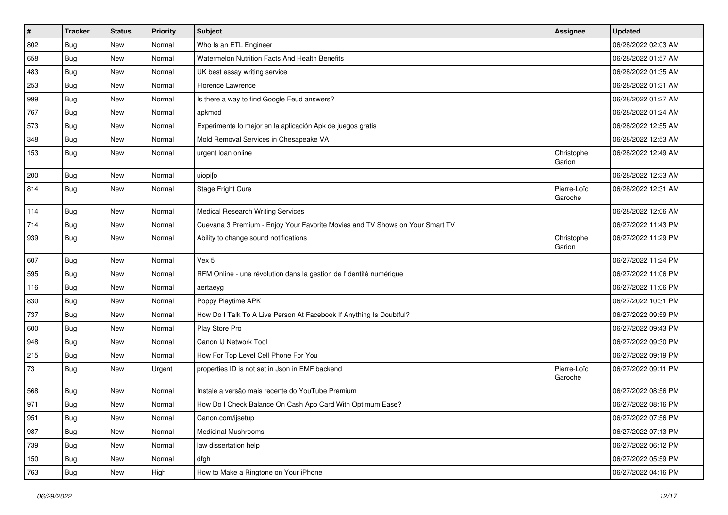| $\vert$ # | <b>Tracker</b> | <b>Status</b> | Priority | <b>Subject</b>                                                               | Assignee               | <b>Updated</b>      |
|-----------|----------------|---------------|----------|------------------------------------------------------------------------------|------------------------|---------------------|
| 802       | Bug            | New           | Normal   | Who Is an ETL Engineer                                                       |                        | 06/28/2022 02:03 AM |
| 658       | Bug            | <b>New</b>    | Normal   | Watermelon Nutrition Facts And Health Benefits                               |                        | 06/28/2022 01:57 AM |
| 483       | Bug            | <b>New</b>    | Normal   | UK best essay writing service                                                |                        | 06/28/2022 01:35 AM |
| 253       | <b>Bug</b>     | New           | Normal   | Florence Lawrence                                                            |                        | 06/28/2022 01:31 AM |
| 999       | Bug            | <b>New</b>    | Normal   | Is there a way to find Google Feud answers?                                  |                        | 06/28/2022 01:27 AM |
| 767       | Bug            | New           | Normal   | apkmod                                                                       |                        | 06/28/2022 01:24 AM |
| 573       | <b>Bug</b>     | <b>New</b>    | Normal   | Experimente lo mejor en la aplicación Apk de juegos gratis                   |                        | 06/28/2022 12:55 AM |
| 348       | Bug            | <b>New</b>    | Normal   | Mold Removal Services in Chesapeake VA                                       |                        | 06/28/2022 12:53 AM |
| 153       | Bug            | New           | Normal   | urgent loan online                                                           | Christophe<br>Garion   | 06/28/2022 12:49 AM |
| 200       | Bug            | <b>New</b>    | Normal   | uiopi[o                                                                      |                        | 06/28/2022 12:33 AM |
| 814       | Bug            | New           | Normal   | Stage Fright Cure                                                            | Pierre-Loïc<br>Garoche | 06/28/2022 12:31 AM |
| 114       | Bug            | <b>New</b>    | Normal   | <b>Medical Research Writing Services</b>                                     |                        | 06/28/2022 12:06 AM |
| 714       | Bug            | <b>New</b>    | Normal   | Cuevana 3 Premium - Enjoy Your Favorite Movies and TV Shows on Your Smart TV |                        | 06/27/2022 11:43 PM |
| 939       | Bug            | <b>New</b>    | Normal   | Ability to change sound notifications                                        | Christophe<br>Garion   | 06/27/2022 11:29 PM |
| 607       | Bug            | <b>New</b>    | Normal   | Vex 5                                                                        |                        | 06/27/2022 11:24 PM |
| 595       | Bug            | <b>New</b>    | Normal   | RFM Online - une révolution dans la gestion de l'identité numérique          |                        | 06/27/2022 11:06 PM |
| 116       | <b>Bug</b>     | New           | Normal   | aertaeyg                                                                     |                        | 06/27/2022 11:06 PM |
| 830       | Bug            | <b>New</b>    | Normal   | Poppy Playtime APK                                                           |                        | 06/27/2022 10:31 PM |
| 737       | <b>Bug</b>     | New           | Normal   | How Do I Talk To A Live Person At Facebook If Anything Is Doubtful?          |                        | 06/27/2022 09:59 PM |
| 600       | <b>Bug</b>     | New           | Normal   | Play Store Pro                                                               |                        | 06/27/2022 09:43 PM |
| 948       | <b>Bug</b>     | New           | Normal   | Canon IJ Network Tool                                                        |                        | 06/27/2022 09:30 PM |
| 215       | Bug            | <b>New</b>    | Normal   | How For Top Level Cell Phone For You                                         |                        | 06/27/2022 09:19 PM |
| 73        | <b>Bug</b>     | New           | Urgent   | properties ID is not set in Json in EMF backend                              | Pierre-Loïc<br>Garoche | 06/27/2022 09:11 PM |
| 568       | Bug            | New           | Normal   | Instale a versão mais recente do YouTube Premium                             |                        | 06/27/2022 08:56 PM |
| 971       | Bug            | New           | Normal   | How Do I Check Balance On Cash App Card With Optimum Ease?                   |                        | 06/27/2022 08:16 PM |
| 951       | Bug            | New           | Normal   | Canon.com/ijsetup                                                            |                        | 06/27/2022 07:56 PM |
| 987       | Bug            | New           | Normal   | <b>Medicinal Mushrooms</b>                                                   |                        | 06/27/2022 07:13 PM |
| 739       | Bug            | New           | Normal   | law dissertation help                                                        |                        | 06/27/2022 06:12 PM |
| 150       | <b>Bug</b>     | New           | Normal   | dfgh                                                                         |                        | 06/27/2022 05:59 PM |
| 763       | <b>Bug</b>     | New           | High     | How to Make a Ringtone on Your iPhone                                        |                        | 06/27/2022 04:16 PM |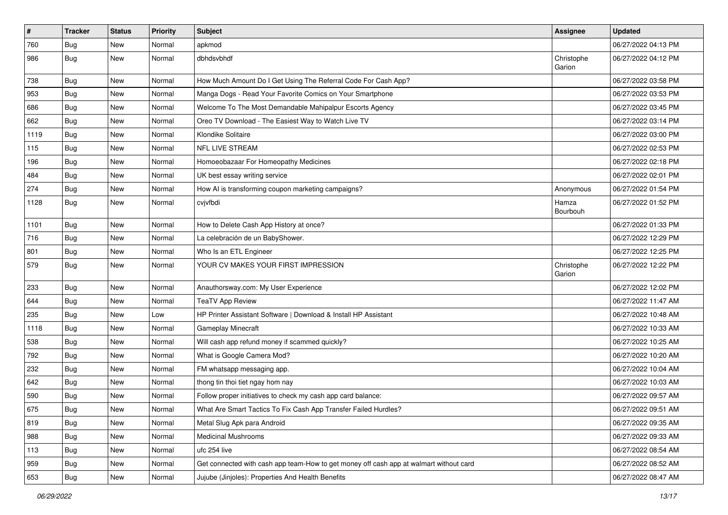| $\vert$ # | <b>Tracker</b> | <b>Status</b> | Priority | Subject                                                                                | <b>Assignee</b>      | <b>Updated</b>      |
|-----------|----------------|---------------|----------|----------------------------------------------------------------------------------------|----------------------|---------------------|
| 760       | <b>Bug</b>     | New           | Normal   | apkmod                                                                                 |                      | 06/27/2022 04:13 PM |
| 986       | Bug            | New           | Normal   | dbhdsvbhdf                                                                             | Christophe<br>Garion | 06/27/2022 04:12 PM |
| 738       | Bug            | <b>New</b>    | Normal   | How Much Amount Do I Get Using The Referral Code For Cash App?                         |                      | 06/27/2022 03:58 PM |
| 953       | Bug            | <b>New</b>    | Normal   | Manga Dogs - Read Your Favorite Comics on Your Smartphone                              |                      | 06/27/2022 03:53 PM |
| 686       | Bug            | New           | Normal   | Welcome To The Most Demandable Mahipalpur Escorts Agency                               |                      | 06/27/2022 03:45 PM |
| 662       | Bug            | New           | Normal   | Oreo TV Download - The Easiest Way to Watch Live TV                                    |                      | 06/27/2022 03:14 PM |
| 1119      | Bug            | New           | Normal   | Klondike Solitaire                                                                     |                      | 06/27/2022 03:00 PM |
| 115       | Bug            | New           | Normal   | NFL LIVE STREAM                                                                        |                      | 06/27/2022 02:53 PM |
| 196       | Bug            | <b>New</b>    | Normal   | Homoeobazaar For Homeopathy Medicines                                                  |                      | 06/27/2022 02:18 PM |
| 484       | Bug            | New           | Normal   | UK best essay writing service                                                          |                      | 06/27/2022 02:01 PM |
| 274       | <b>Bug</b>     | <b>New</b>    | Normal   | How AI is transforming coupon marketing campaigns?                                     | Anonymous            | 06/27/2022 01:54 PM |
| 1128      | Bug            | <b>New</b>    | Normal   | cvjvfbdi                                                                               | Hamza<br>Bourbouh    | 06/27/2022 01:52 PM |
| 1101      | Bug            | New           | Normal   | How to Delete Cash App History at once?                                                |                      | 06/27/2022 01:33 PM |
| 716       | Bug            | New           | Normal   | La celebración de un BabyShower.                                                       |                      | 06/27/2022 12:29 PM |
| 801       | <b>Bug</b>     | New           | Normal   | Who Is an ETL Engineer                                                                 |                      | 06/27/2022 12:25 PM |
| 579       | Bug            | New           | Normal   | YOUR CV MAKES YOUR FIRST IMPRESSION                                                    | Christophe<br>Garion | 06/27/2022 12:22 PM |
| 233       | <b>Bug</b>     | <b>New</b>    | Normal   | Anauthorsway.com: My User Experience                                                   |                      | 06/27/2022 12:02 PM |
| 644       | Bug            | <b>New</b>    | Normal   | <b>TeaTV App Review</b>                                                                |                      | 06/27/2022 11:47 AM |
| 235       | Bug            | New           | Low      | HP Printer Assistant Software   Download & Install HP Assistant                        |                      | 06/27/2022 10:48 AM |
| 1118      | Bug            | New           | Normal   | <b>Gameplay Minecraft</b>                                                              |                      | 06/27/2022 10:33 AM |
| 538       | Bug            | New           | Normal   | Will cash app refund money if scammed quickly?                                         |                      | 06/27/2022 10:25 AM |
| 792       | Bug            | New           | Normal   | What is Google Camera Mod?                                                             |                      | 06/27/2022 10:20 AM |
| 232       | Bug            | New           | Normal   | FM whatsapp messaging app.                                                             |                      | 06/27/2022 10:04 AM |
| 642       | <b>Bug</b>     | New           | Normal   | thong tin thoi tiet ngay hom nay                                                       |                      | 06/27/2022 10:03 AM |
| 590       | <b>Bug</b>     | New           | Normal   | Follow proper initiatives to check my cash app card balance:                           |                      | 06/27/2022 09:57 AM |
| 675       | Bug            | New           | Normal   | What Are Smart Tactics To Fix Cash App Transfer Failed Hurdles?                        |                      | 06/27/2022 09:51 AM |
| 819       | Bug            | New           | Normal   | Metal Slug Apk para Android                                                            |                      | 06/27/2022 09:35 AM |
| 988       | Bug            | New           | Normal   | <b>Medicinal Mushrooms</b>                                                             |                      | 06/27/2022 09:33 AM |
| 113       | Bug            | New           | Normal   | ufc 254 live                                                                           |                      | 06/27/2022 08:54 AM |
| 959       | Bug            | New           | Normal   | Get connected with cash app team-How to get money off cash app at walmart without card |                      | 06/27/2022 08:52 AM |
| 653       | <b>Bug</b>     | New           | Normal   | Jujube (Jinjoles): Properties And Health Benefits                                      |                      | 06/27/2022 08:47 AM |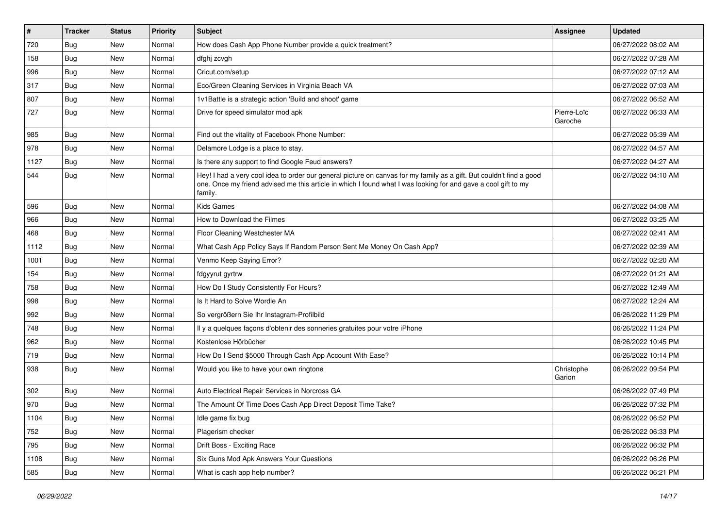| $\pmb{\#}$ | <b>Tracker</b> | <b>Status</b> | <b>Priority</b> | Subject                                                                                                                                                                                                                                           | <b>Assignee</b>        | <b>Updated</b>      |
|------------|----------------|---------------|-----------------|---------------------------------------------------------------------------------------------------------------------------------------------------------------------------------------------------------------------------------------------------|------------------------|---------------------|
| 720        | <b>Bug</b>     | New           | Normal          | How does Cash App Phone Number provide a quick treatment?                                                                                                                                                                                         |                        | 06/27/2022 08:02 AM |
| 158        | Bug            | <b>New</b>    | Normal          | dfghj zcvgh                                                                                                                                                                                                                                       |                        | 06/27/2022 07:28 AM |
| 996        | Bug            | New           | Normal          | Cricut.com/setup                                                                                                                                                                                                                                  |                        | 06/27/2022 07:12 AM |
| 317        | Bug            | New           | Normal          | Eco/Green Cleaning Services in Virginia Beach VA                                                                                                                                                                                                  |                        | 06/27/2022 07:03 AM |
| 807        | Bug            | New           | Normal          | 1v1Battle is a strategic action 'Build and shoot' game                                                                                                                                                                                            |                        | 06/27/2022 06:52 AM |
| 727        | Bug            | <b>New</b>    | Normal          | Drive for speed simulator mod apk                                                                                                                                                                                                                 | Pierre-Loïc<br>Garoche | 06/27/2022 06:33 AM |
| 985        | Bug            | New           | Normal          | Find out the vitality of Facebook Phone Number:                                                                                                                                                                                                   |                        | 06/27/2022 05:39 AM |
| 978        | Bug            | New           | Normal          | Delamore Lodge is a place to stay.                                                                                                                                                                                                                |                        | 06/27/2022 04:57 AM |
| 1127       | Bug            | <b>New</b>    | Normal          | Is there any support to find Google Feud answers?                                                                                                                                                                                                 |                        | 06/27/2022 04:27 AM |
| 544        | Bug            | New           | Normal          | Hey! I had a very cool idea to order our general picture on canvas for my family as a gift. But couldn't find a good<br>one. Once my friend advised me this article in which I found what I was looking for and gave a cool gift to my<br>family. |                        | 06/27/2022 04:10 AM |
| 596        | Bug            | New           | Normal          | Kids Games                                                                                                                                                                                                                                        |                        | 06/27/2022 04:08 AM |
| 966        | Bug            | New           | Normal          | How to Download the Filmes                                                                                                                                                                                                                        |                        | 06/27/2022 03:25 AM |
| 468        | Bug            | New           | Normal          | Floor Cleaning Westchester MA                                                                                                                                                                                                                     |                        | 06/27/2022 02:41 AM |
| 1112       | Bug            | New           | Normal          | What Cash App Policy Says If Random Person Sent Me Money On Cash App?                                                                                                                                                                             |                        | 06/27/2022 02:39 AM |
| 1001       | Bug            | <b>New</b>    | Normal          | Venmo Keep Saying Error?                                                                                                                                                                                                                          |                        | 06/27/2022 02:20 AM |
| 154        | Bug            | New           | Normal          | fdgyyrut gyrtrw                                                                                                                                                                                                                                   |                        | 06/27/2022 01:21 AM |
| 758        | <b>Bug</b>     | New           | Normal          | How Do I Study Consistently For Hours?                                                                                                                                                                                                            |                        | 06/27/2022 12:49 AM |
| 998        | Bug            | New           | Normal          | Is It Hard to Solve Wordle An                                                                                                                                                                                                                     |                        | 06/27/2022 12:24 AM |
| 992        | Bug            | New           | Normal          | So vergrößern Sie Ihr Instagram-Profilbild                                                                                                                                                                                                        |                        | 06/26/2022 11:29 PM |
| 748        | Bug            | <b>New</b>    | Normal          | Il y a quelques façons d'obtenir des sonneries gratuites pour votre iPhone                                                                                                                                                                        |                        | 06/26/2022 11:24 PM |
| 962        | Bug            | New           | Normal          | Kostenlose Hörbücher                                                                                                                                                                                                                              |                        | 06/26/2022 10:45 PM |
| 719        | Bug            | New           | Normal          | How Do I Send \$5000 Through Cash App Account With Ease?                                                                                                                                                                                          |                        | 06/26/2022 10:14 PM |
| 938        | Bug            | New           | Normal          | Would you like to have your own ringtone                                                                                                                                                                                                          | Christophe<br>Garion   | 06/26/2022 09:54 PM |
| 302        | Bug            | New           | Normal          | Auto Electrical Repair Services in Norcross GA                                                                                                                                                                                                    |                        | 06/26/2022 07:49 PM |
| 970        | <b>Bug</b>     | New           | Normal          | The Amount Of Time Does Cash App Direct Deposit Time Take?                                                                                                                                                                                        |                        | 06/26/2022 07:32 PM |
| 1104       | <b>Bug</b>     | New           | Normal          | Idle game fix bug                                                                                                                                                                                                                                 |                        | 06/26/2022 06:52 PM |
| 752        | Bug            | New           | Normal          | Plagerism checker                                                                                                                                                                                                                                 |                        | 06/26/2022 06:33 PM |
| 795        | Bug            | New           | Normal          | Drift Boss - Exciting Race                                                                                                                                                                                                                        |                        | 06/26/2022 06:32 PM |
| 1108       | <b>Bug</b>     | New           | Normal          | Six Guns Mod Apk Answers Your Questions                                                                                                                                                                                                           |                        | 06/26/2022 06:26 PM |
| 585        | Bug            | New           | Normal          | What is cash app help number?                                                                                                                                                                                                                     |                        | 06/26/2022 06:21 PM |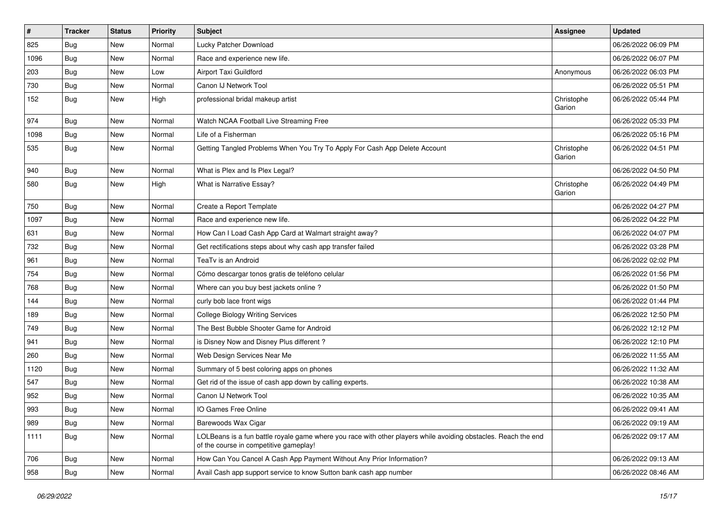| $\sharp$ | <b>Tracker</b> | <b>Status</b> | <b>Priority</b> | <b>Subject</b>                                                                                                                                           | <b>Assignee</b>      | <b>Updated</b>      |
|----------|----------------|---------------|-----------------|----------------------------------------------------------------------------------------------------------------------------------------------------------|----------------------|---------------------|
| 825      | <b>Bug</b>     | New           | Normal          | Lucky Patcher Download                                                                                                                                   |                      | 06/26/2022 06:09 PM |
| 1096     | Bug            | <b>New</b>    | Normal          | Race and experience new life.                                                                                                                            |                      | 06/26/2022 06:07 PM |
| 203      | Bug            | New           | Low             | Airport Taxi Guildford                                                                                                                                   | Anonymous            | 06/26/2022 06:03 PM |
| 730      | Bug            | New           | Normal          | Canon IJ Network Tool                                                                                                                                    |                      | 06/26/2022 05:51 PM |
| 152      | <b>Bug</b>     | <b>New</b>    | High            | professional bridal makeup artist                                                                                                                        | Christophe<br>Garion | 06/26/2022 05:44 PM |
| 974      | Bug            | <b>New</b>    | Normal          | Watch NCAA Football Live Streaming Free                                                                                                                  |                      | 06/26/2022 05:33 PM |
| 1098     | Bug            | New           | Normal          | Life of a Fisherman                                                                                                                                      |                      | 06/26/2022 05:16 PM |
| 535      | Bug            | New           | Normal          | Getting Tangled Problems When You Try To Apply For Cash App Delete Account                                                                               | Christophe<br>Garion | 06/26/2022 04:51 PM |
| 940      | <b>Bug</b>     | <b>New</b>    | Normal          | What is Plex and Is Plex Legal?                                                                                                                          |                      | 06/26/2022 04:50 PM |
| 580      | Bug            | New           | High            | What is Narrative Essay?                                                                                                                                 | Christophe<br>Garion | 06/26/2022 04:49 PM |
| 750      | Bug            | <b>New</b>    | Normal          | Create a Report Template                                                                                                                                 |                      | 06/26/2022 04:27 PM |
| 1097     | Bug            | New           | Normal          | Race and experience new life.                                                                                                                            |                      | 06/26/2022 04:22 PM |
| 631      | Bug            | New           | Normal          | How Can I Load Cash App Card at Walmart straight away?                                                                                                   |                      | 06/26/2022 04:07 PM |
| 732      | Bug            | New           | Normal          | Get rectifications steps about why cash app transfer failed                                                                                              |                      | 06/26/2022 03:28 PM |
| 961      | Bug            | <b>New</b>    | Normal          | TeaTv is an Android                                                                                                                                      |                      | 06/26/2022 02:02 PM |
| 754      | Bug            | New           | Normal          | Cómo descargar tonos gratis de teléfono celular                                                                                                          |                      | 06/26/2022 01:56 PM |
| 768      | Bug            | New           | Normal          | Where can you buy best jackets online?                                                                                                                   |                      | 06/26/2022 01:50 PM |
| 144      | Bug            | <b>New</b>    | Normal          | curly bob lace front wigs                                                                                                                                |                      | 06/26/2022 01:44 PM |
| 189      | Bug            | New           | Normal          | <b>College Biology Writing Services</b>                                                                                                                  |                      | 06/26/2022 12:50 PM |
| 749      | <b>Bug</b>     | New           | Normal          | The Best Bubble Shooter Game for Android                                                                                                                 |                      | 06/26/2022 12:12 PM |
| 941      | Bug            | New           | Normal          | is Disney Now and Disney Plus different?                                                                                                                 |                      | 06/26/2022 12:10 PM |
| 260      | Bug            | New           | Normal          | Web Design Services Near Me                                                                                                                              |                      | 06/26/2022 11:55 AM |
| 1120     | Bug            | <b>New</b>    | Normal          | Summary of 5 best coloring apps on phones                                                                                                                |                      | 06/26/2022 11:32 AM |
| 547      | <b>Bug</b>     | New           | Normal          | Get rid of the issue of cash app down by calling experts.                                                                                                |                      | 06/26/2022 10:38 AM |
| 952      | <b>Bug</b>     | New           | Normal          | Canon IJ Network Tool                                                                                                                                    |                      | 06/26/2022 10:35 AM |
| 993      | Bug            | New           | Normal          | IO Games Free Online                                                                                                                                     |                      | 06/26/2022 09:41 AM |
| 989      | Bug            | New           | Normal          | Barewoods Wax Cigar                                                                                                                                      |                      | 06/26/2022 09:19 AM |
| 1111     | Bug            | New           | Normal          | LOLBeans is a fun battle royale game where you race with other players while avoiding obstacles. Reach the end<br>of the course in competitive gameplay! |                      | 06/26/2022 09:17 AM |
| 706      | Bug            | New           | Normal          | How Can You Cancel A Cash App Payment Without Any Prior Information?                                                                                     |                      | 06/26/2022 09:13 AM |
| 958      | Bug            | New           | Normal          | Avail Cash app support service to know Sutton bank cash app number                                                                                       |                      | 06/26/2022 08:46 AM |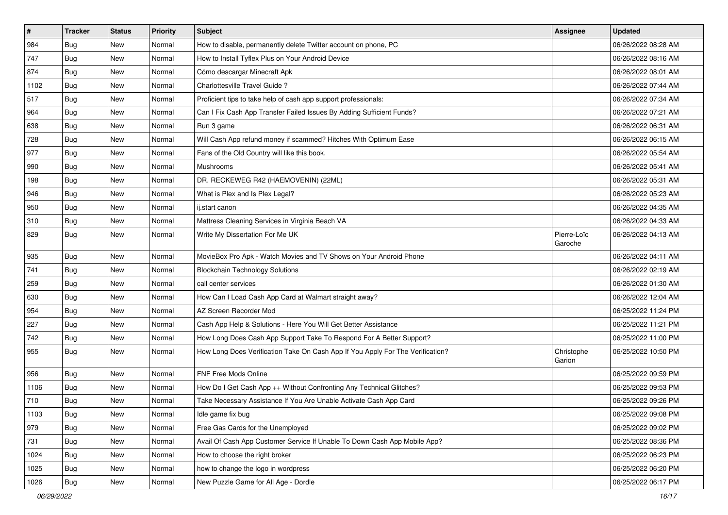| $\vert$ # | <b>Tracker</b> | <b>Status</b> | <b>Priority</b> | <b>Subject</b>                                                                 | Assignee               | <b>Updated</b>      |
|-----------|----------------|---------------|-----------------|--------------------------------------------------------------------------------|------------------------|---------------------|
| 984       | Bug            | New           | Normal          | How to disable, permanently delete Twitter account on phone, PC                |                        | 06/26/2022 08:28 AM |
| 747       | Bug            | New           | Normal          | How to Install Tyflex Plus on Your Android Device                              |                        | 06/26/2022 08:16 AM |
| 874       | Bug            | New           | Normal          | Cómo descargar Minecraft Apk                                                   |                        | 06/26/2022 08:01 AM |
| 1102      | <b>Bug</b>     | New           | Normal          | Charlottesville Travel Guide?                                                  |                        | 06/26/2022 07:44 AM |
| 517       | Bug            | New           | Normal          | Proficient tips to take help of cash app support professionals:                |                        | 06/26/2022 07:34 AM |
| 964       | Bug            | New           | Normal          | Can I Fix Cash App Transfer Failed Issues By Adding Sufficient Funds?          |                        | 06/26/2022 07:21 AM |
| 638       | <b>Bug</b>     | New           | Normal          | Run 3 game                                                                     |                        | 06/26/2022 06:31 AM |
| 728       | Bug            | New           | Normal          | Will Cash App refund money if scammed? Hitches With Optimum Ease               |                        | 06/26/2022 06:15 AM |
| 977       | <b>Bug</b>     | New           | Normal          | Fans of the Old Country will like this book.                                   |                        | 06/26/2022 05:54 AM |
| 990       | Bug            | New           | Normal          | Mushrooms                                                                      |                        | 06/26/2022 05:41 AM |
| 198       | <b>Bug</b>     | New           | Normal          | DR. RECKEWEG R42 (HAEMOVENIN) (22ML)                                           |                        | 06/26/2022 05:31 AM |
| 946       | <b>Bug</b>     | New           | Normal          | What is Plex and Is Plex Legal?                                                |                        | 06/26/2022 05:23 AM |
| 950       | Bug            | New           | Normal          | ij.start canon                                                                 |                        | 06/26/2022 04:35 AM |
| 310       | <b>Bug</b>     | New           | Normal          | Mattress Cleaning Services in Virginia Beach VA                                |                        | 06/26/2022 04:33 AM |
| 829       | Bug            | New           | Normal          | Write My Dissertation For Me UK                                                | Pierre-Loïc<br>Garoche | 06/26/2022 04:13 AM |
| 935       | Bug            | New           | Normal          | MovieBox Pro Apk - Watch Movies and TV Shows on Your Android Phone             |                        | 06/26/2022 04:11 AM |
| 741       | Bug            | New           | Normal          | <b>Blockchain Technology Solutions</b>                                         |                        | 06/26/2022 02:19 AM |
| 259       | Bug            | New           | Normal          | call center services                                                           |                        | 06/26/2022 01:30 AM |
| 630       | <b>Bug</b>     | New           | Normal          | How Can I Load Cash App Card at Walmart straight away?                         |                        | 06/26/2022 12:04 AM |
| 954       | Bug            | New           | Normal          | AZ Screen Recorder Mod                                                         |                        | 06/25/2022 11:24 PM |
| 227       | <b>Bug</b>     | New           | Normal          | Cash App Help & Solutions - Here You Will Get Better Assistance                |                        | 06/25/2022 11:21 PM |
| 742       | <b>Bug</b>     | New           | Normal          | How Long Does Cash App Support Take To Respond For A Better Support?           |                        | 06/25/2022 11:00 PM |
| 955       | Bug            | New           | Normal          | How Long Does Verification Take On Cash App If You Apply For The Verification? | Christophe<br>Garion   | 06/25/2022 10:50 PM |
| 956       | <b>Bug</b>     | New           | Normal          | FNF Free Mods Online                                                           |                        | 06/25/2022 09:59 PM |
| 1106      | Bug            | New           | Normal          | How Do I Get Cash App ++ Without Confronting Any Technical Glitches?           |                        | 06/25/2022 09:53 PM |
| 710       | <b>Bug</b>     | New           | Normal          | Take Necessary Assistance If You Are Unable Activate Cash App Card             |                        | 06/25/2022 09:26 PM |
| 1103      | Bug            | New           | Normal          | Idle game fix bug                                                              |                        | 06/25/2022 09:08 PM |
| 979       | Bug            | New           | Normal          | Free Gas Cards for the Unemployed                                              |                        | 06/25/2022 09:02 PM |
| 731       | Bug            | New           | Normal          | Avail Of Cash App Customer Service If Unable To Down Cash App Mobile App?      |                        | 06/25/2022 08:36 PM |
| 1024      | Bug            | New           | Normal          | How to choose the right broker                                                 |                        | 06/25/2022 06:23 PM |
| 1025      | <b>Bug</b>     | New           | Normal          | how to change the logo in wordpress                                            |                        | 06/25/2022 06:20 PM |
| 1026      | Bug            | New           | Normal          | New Puzzle Game for All Age - Dordle                                           |                        | 06/25/2022 06:17 PM |